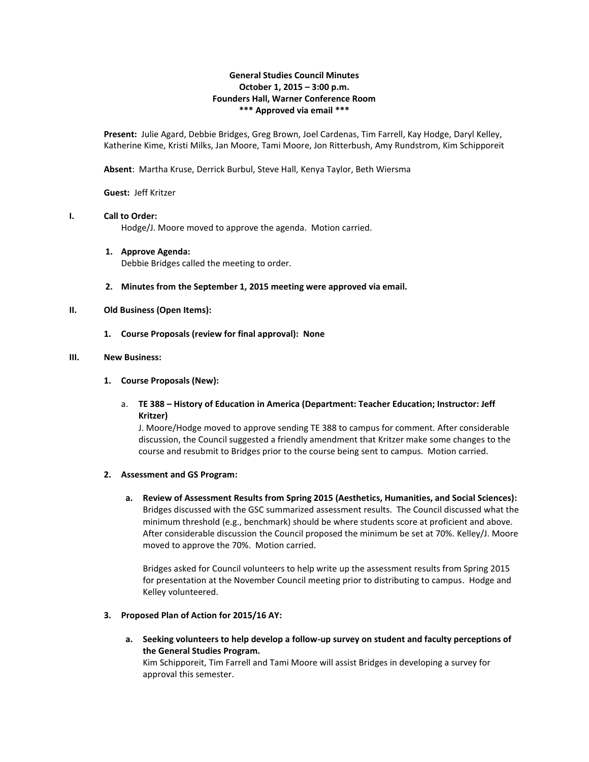## **General Studies Council Minutes October 1, 2015 – 3:00 p.m. Founders Hall, Warner Conference Room \*\*\* Approved via email \*\*\***

**Present:** Julie Agard, Debbie Bridges, Greg Brown, Joel Cardenas, Tim Farrell, Kay Hodge, Daryl Kelley, Katherine Kime, Kristi Milks, Jan Moore, Tami Moore, Jon Ritterbush, Amy Rundstrom, Kim Schipporeit

**Absent**: Martha Kruse, Derrick Burbul, Steve Hall, Kenya Taylor, Beth Wiersma

**Guest:** Jeff Kritzer

# **I. Call to Order:**

Hodge/J. Moore moved to approve the agenda. Motion carried.

- **1. Approve Agenda:** Debbie Bridges called the meeting to order.
- **2. Minutes from the September 1, 2015 meeting were approved via email.**

## **II. Old Business (Open Items):**

**1. Course Proposals (review for final approval): None**

#### **III. New Business:**

### **1. Course Proposals (New):**

a. **TE 388 – History of Education in America (Department: Teacher Education; Instructor: Jeff Kritzer)**

J. Moore/Hodge moved to approve sending TE 388 to campus for comment. After considerable discussion, the Council suggested a friendly amendment that Kritzer make some changes to the course and resubmit to Bridges prior to the course being sent to campus. Motion carried.

## **2. Assessment and GS Program:**

**a. Review of Assessment Results from Spring 2015 (Aesthetics, Humanities, and Social Sciences):** Bridges discussed with the GSC summarized assessment results. The Council discussed what the minimum threshold (e.g., benchmark) should be where students score at proficient and above. After considerable discussion the Council proposed the minimum be set at 70%. Kelley/J. Moore moved to approve the 70%. Motion carried.

Bridges asked for Council volunteers to help write up the assessment results from Spring 2015 for presentation at the November Council meeting prior to distributing to campus. Hodge and Kelley volunteered.

## **3. Proposed Plan of Action for 2015/16 AY:**

**a. Seeking volunteers to help develop a follow-up survey on student and faculty perceptions of the General Studies Program.**

Kim Schipporeit, Tim Farrell and Tami Moore will assist Bridges in developing a survey for approval this semester.